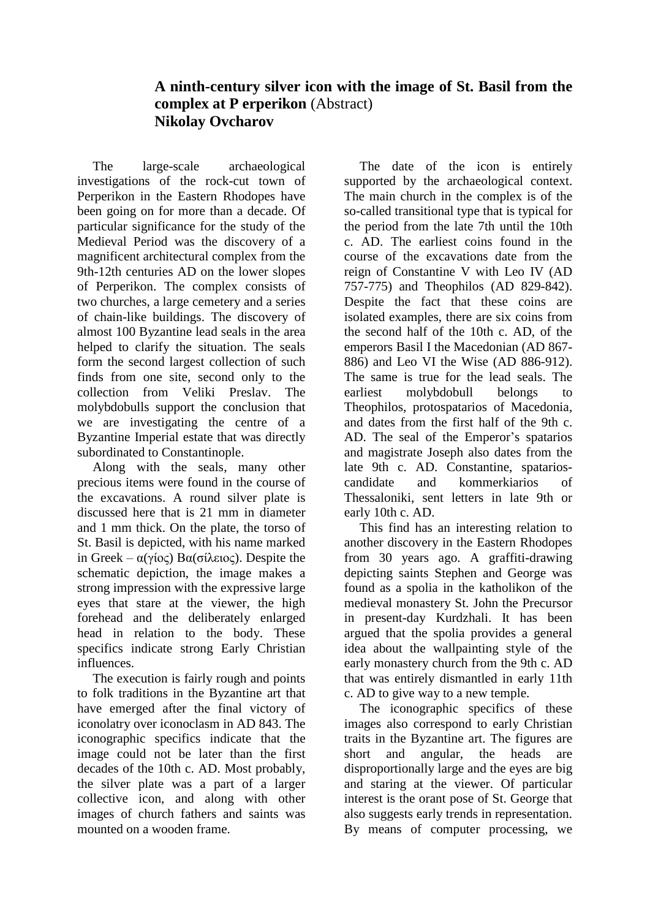## **A ninth-century silver icon with the image of St. Basil from the complex at P erperikon** (Abstract) **Nikolay Ovcharov**

The large-scale archaeological investigations of the rock-cut town of Perperikon in the Eastern Rhodopes have been going on for more than a decade. Of particular significance for the study of the Medieval Period was the discovery of a magnificent architectural complex from the 9th-12th centuries AD on the lower slopes of Perperikon. The complex consists of two churches, a large cemetery and a series of chain-like buildings. The discovery of almost 100 Byzantine lead seals in the area helped to clarify the situation. The seals form the second largest collection of such finds from one site, second only to the collection from Veliki Preslav. The molybdobulls support the conclusion that we are investigating the centre of a Byzantine Imperial estate that was directly subordinated to Constantinople.

Along with the seals, many other precious items were found in the course of the excavations. A round silver plate is discussed here that is 21 mm in diameter and 1 mm thick. On the plate, the torso of St. Basil is depicted, with his name marked in Greek – α(γίος) Βα(σίλειος). Despite the schematic depiction, the image makes a strong impression with the expressive large eyes that stare at the viewer, the high forehead and the deliberately enlarged head in relation to the body. These specifics indicate strong Early Christian influences.

The execution is fairly rough and points to folk traditions in the Byzantine art that have emerged after the final victory of iconolatry over iconoclasm in AD 843. The iconographic specifics indicate that the image could not be later than the first decades of the 10th c. AD. Most probably, the silver plate was a part of a larger collective icon, and along with other images of church fathers and saints was mounted on a wooden frame.

The date of the icon is entirely supported by the archaeological context. The main church in the complex is of the so-called transitional type that is typical for the period from the late 7th until the 10th c. AD. The earliest coins found in the course of the excavations date from the reign of Constantine V with Leo IV (AD 757-775) and Theophilos (AD 829-842). Despite the fact that these coins are isolated examples, there are six coins from the second half of the 10th c. AD, of the emperors Basil I the Macedonian (AD 867- 886) and Leo VI the Wise (AD 886-912). The same is true for the lead seals. The earliest molybdobull belongs to Theophilos, protospatarios of Macedonia, and dates from the first half of the 9th c. AD. The seal of the Emperor's spatarios and magistrate Joseph also dates from the late 9th c. AD. Constantine, spatarioscandidate and kommerkiarios of Thessaloniki, sent letters in late 9th or early 10th c. AD.

This find has an interesting relation to another discovery in the Eastern Rhodopes from 30 years ago. A graffiti-drawing depicting saints Stephen and George was found as a spolia in the katholikon of the medieval monastery St. John the Precursor in present-day Kurdzhali. It has been argued that the spolia provides a general idea about the wallpainting style of the early monastery church from the 9th c. AD that was entirely dismantled in early 11th c. AD to give way to a new temple.

The iconographic specifics of these images also correspond to early Christian traits in the Byzantine art. The figures are short and angular, the heads are disproportionally large and the eyes are big and staring at the viewer. Of particular interest is the orant pose of St. George that also suggests early trends in representation. By means of computer processing, we